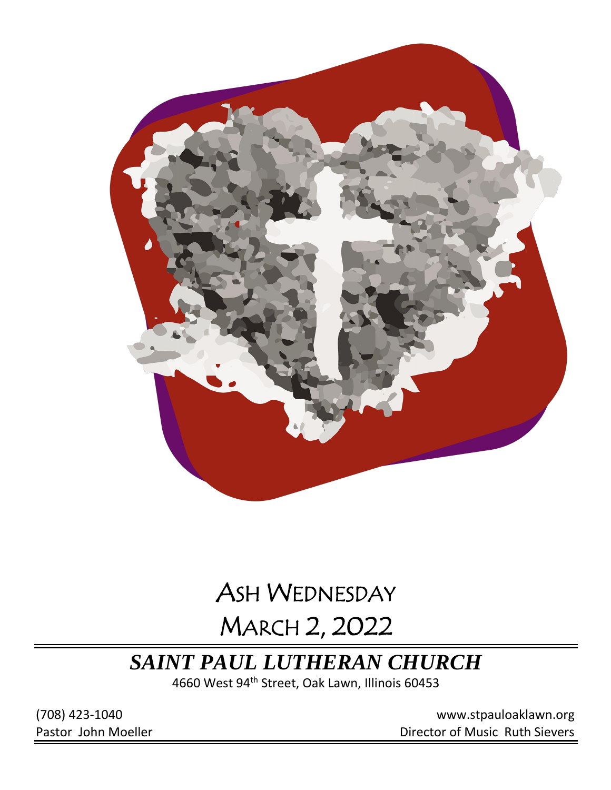

# ASH WEDNESDAY

# MARCH 2, 2022

## *SAINT PAUL LUTHERAN CHURCH*

4660 West 94th Street, Oak Lawn, Illinois 60453

(708) 423-1040 [www.stpauloaklawn.org](about:blank) Pastor John Moeller **Director of Music Ruth Sievers**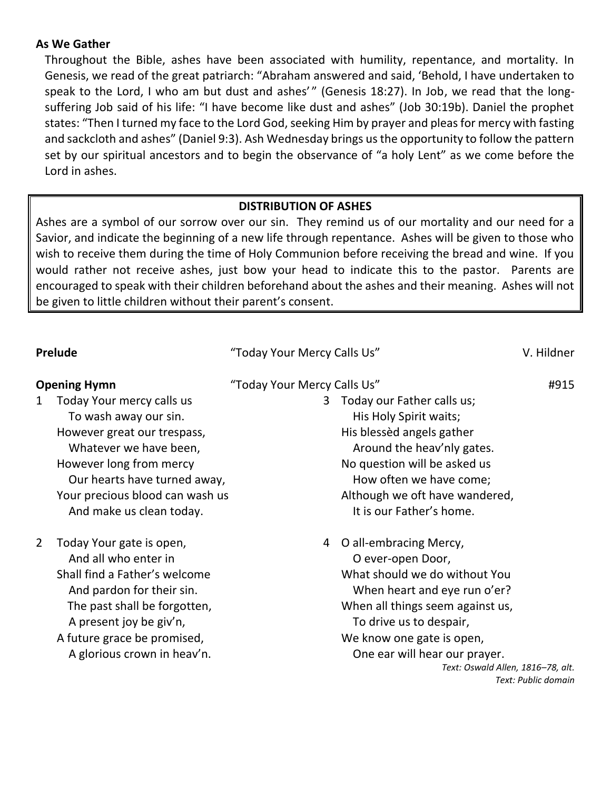#### **As We Gather**

Throughout the Bible, ashes have been associated with humility, repentance, and mortality. In Genesis, we read of the great patriarch: "Abraham answered and said, 'Behold, I have undertaken to speak to the Lord, I who am but dust and ashes'" (Genesis 18:27). In Job, we read that the longsuffering Job said of his life: "I have become like dust and ashes" (Job 30:19b). Daniel the prophet states: "Then I turned my face to the Lord God, seeking Him by prayer and pleas for mercy with fasting and sackcloth and ashes" (Daniel 9:3). Ash Wednesday brings us the opportunity to follow the pattern set by our spiritual ancestors and to begin the observance of "a holy Lent" as we come before the Lord in ashes.

#### **DISTRIBUTION OF ASHES**

Ashes are a symbol of our sorrow over our sin. They remind us of our mortality and our need for a Savior, and indicate the beginning of a new life through repentance. Ashes will be given to those who wish to receive them during the time of Holy Communion before receiving the bread and wine. If you would rather not receive ashes, just bow your head to indicate this to the pastor. Parents are encouraged to speak with their children beforehand about the ashes and their meaning. Ashes will not be given to little children without their parent's consent.

| <b>Prelude</b>                                                                                                                                                                                                                                        | "Today Your Mercy Calls Us"                                                                                                                                                                                                                                                         | V. Hildner          |
|-------------------------------------------------------------------------------------------------------------------------------------------------------------------------------------------------------------------------------------------------------|-------------------------------------------------------------------------------------------------------------------------------------------------------------------------------------------------------------------------------------------------------------------------------------|---------------------|
| <b>Opening Hymn</b>                                                                                                                                                                                                                                   | "Today Your Mercy Calls Us"                                                                                                                                                                                                                                                         | #915                |
| Today Your mercy calls us<br>$\mathbf{1}$<br>To wash away our sin.<br>However great our trespass,<br>Whatever we have been,<br>However long from mercy<br>Our hearts have turned away,<br>Your precious blood can wash us<br>And make us clean today. | Today our Father calls us;<br>3<br>His Holy Spirit waits;<br>His blessed angels gather<br>Around the heav'nly gates.<br>No question will be asked us<br>How often we have come;<br>Although we oft have wandered,<br>It is our Father's home.                                       |                     |
| 2<br>Today Your gate is open,<br>And all who enter in<br>Shall find a Father's welcome<br>And pardon for their sin.<br>The past shall be forgotten,<br>A present joy be giv'n,<br>A future grace be promised,<br>A glorious crown in heav'n.          | O all-embracing Mercy,<br>4<br>O ever-open Door,<br>What should we do without You<br>When heart and eye run o'er?<br>When all things seem against us,<br>To drive us to despair,<br>We know one gate is open,<br>One ear will hear our prayer.<br>Text: Oswald Allen, 1816-78, alt. | Text: Public domain |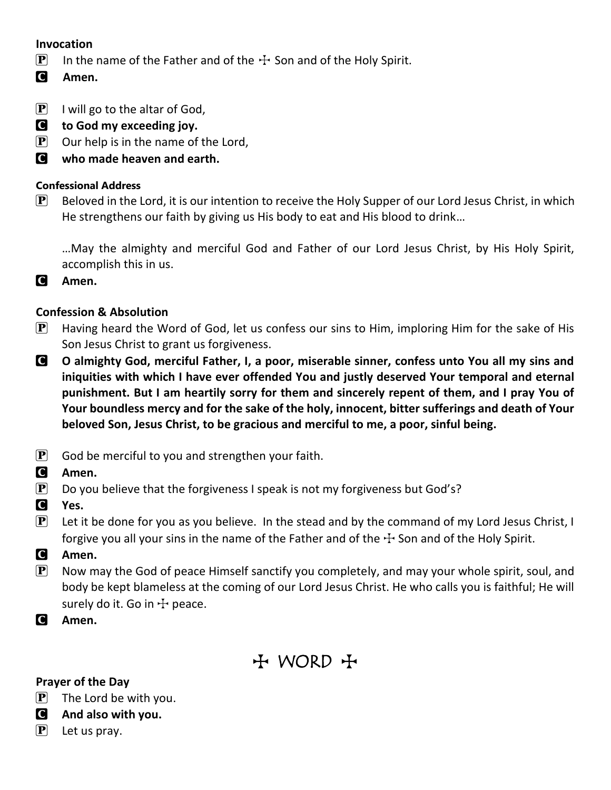### **Invocation**

- **P** In the name of the Father and of the  $\pm$  Son and of the Holy Spirit.
- C **Amen.**
- $\boxed{\mathbf{P}}$  I will go to the altar of God,
- C **to God my exceeding joy.**
- $\mathbf{P}$  Our help is in the name of the Lord,
- C **who made heaven and earth.**

#### **Confessional Address**

 $\mathbf{P}$  Beloved in the Lord, it is our intention to receive the Holy Supper of our Lord Jesus Christ, in which He strengthens our faith by giving us His body to eat and His blood to drink…

…May the almighty and merciful God and Father of our Lord Jesus Christ, by His Holy Spirit, accomplish this in us.

C **Amen.**

### **Confession & Absolution**

- **P** Having heard the Word of God, let us confess our sins to Him, imploring Him for the sake of His Son Jesus Christ to grant us forgiveness.
- C **O almighty God, merciful Father, I, a poor, miserable sinner, confess unto You all my sins and iniquities with which I have ever offended You and justly deserved Your temporal and eternal punishment. But I am heartily sorry for them and sincerely repent of them, and I pray You of Your boundless mercy and for the sake of the holy, innocent, bitter sufferings and death of Your beloved Son, Jesus Christ, to be gracious and merciful to me, a poor, sinful being.**
- $\left| \mathbf{P} \right|$  God be merciful to you and strengthen your faith.
- C **Amen.**
- $\mathbf{P}$  Do you believe that the forgiveness I speak is not my forgiveness but God's?
- C **Yes.**
- $\mathbf{P}$  Let it be done for you as you believe. In the stead and by the command of my Lord Jesus Christ, I forgive you all your sins in the name of the Father and of the  $\pm$  Son and of the Holy Spirit.
- C **Amen.**
- $\left| \mathbf{P} \right|$  Now may the God of peace Himself sanctify you completely, and may your whole spirit, soul, and body be kept blameless at the coming of our Lord Jesus Christ. He who calls you is faithful; He will surely do it. Go in  $+$  peace.
- C **Amen.**

## + WORD +

#### **Prayer of the Day**

 $\left| \mathbf{P} \right|$  The Lord be with you.

- C **And also with you.**
- $\left[\mathbf{P}\right]$  Let us pray.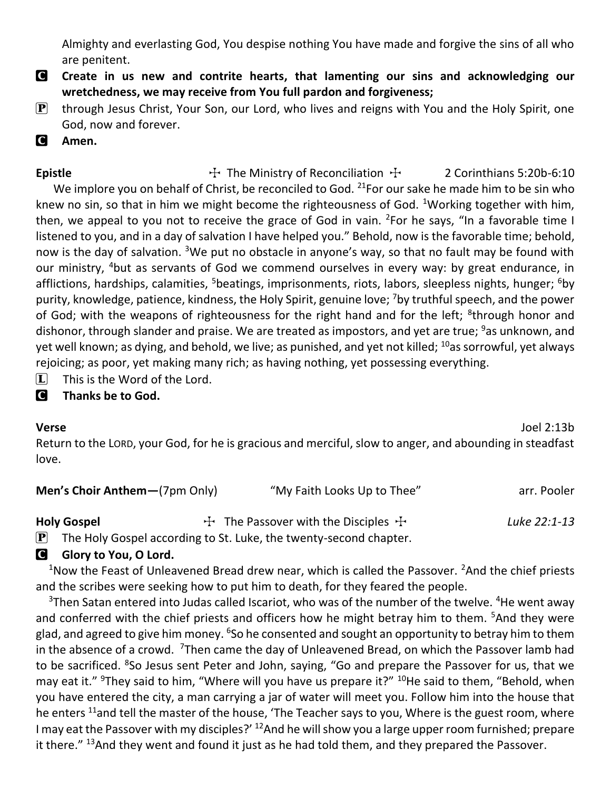Almighty and everlasting God, You despise nothing You have made and forgive the sins of all who are penitent.

- C **Create in us new and contrite hearts, that lamenting our sins and acknowledging our wretchedness, we may receive from You full pardon and forgiveness;**
- $\mathbf{P}$  through Jesus Christ, Your Son, our Lord, who lives and reigns with You and the Holy Spirit, one God, now and forever.
- C **Amen.**

**Epistle** The Ministry of Reconciliation  $\ddot{\tau}$  2 Corinthians 5:20b-6:10 We implore you on behalf of Christ, be reconciled to God. <sup>21</sup>For our sake he made him to be sin who knew no sin, so that in him we might become the righteousness of God. <sup>1</sup>Working together with him, then, we appeal to you not to receive the grace of God in vain. <sup>2</sup>For he says, "In a favorable time I listened to you, and in a day of salvation I have helped you." Behold, now is the favorable time; behold, now is the day of salvation. <sup>3</sup>We put no obstacle in anyone's way, so that no fault may be found with our ministry, <sup>4</sup>but as servants of God we commend ourselves in every way: by great endurance, in afflictions, hardships, calamities, <sup>5</sup>beatings, imprisonments, riots, labors, sleepless nights, hunger; <sup>6</sup>by purity, knowledge, patience, kindness, the Holy Spirit, genuine love; <sup>7</sup>by truthful speech, and the power of God; with the weapons of righteousness for the right hand and for the left; <sup>8</sup>through honor and dishonor, through slander and praise. We are treated as impostors, and yet are true; <sup>9</sup>as unknown, and yet well known; as dying, and behold, we live; as punished, and yet not killed; <sup>10</sup>as sorrowful, yet always rejoicing; as poor, yet making many rich; as having nothing, yet possessing everything.

 $\[\mathbf{\overline{L}}\]$  This is the Word of the Lord.

#### C **Thanks be to God.**

**Verse** Joel 2:13b

Return to the LORD, your God, for he is gracious and merciful, slow to anger, and abounding in steadfast love.

| <b>Men's Choir Anthem-(7pm Only)</b> | "My Faith Looks Up to Thee"                 | arr. Pooler  |
|--------------------------------------|---------------------------------------------|--------------|
| <b>Holy Gospel</b>                   | $\pm$ The Passover with the Disciples $\pm$ | Luke 22:1-13 |

 $\left[ \mathbf{P} \right]$  The Holy Gospel according to St. Luke, the twenty-second chapter.

### **G** Glory to You, O Lord.

 $1$ Now the Feast of Unleavened Bread drew near, which is called the Passover.  $2$ And the chief priests and the scribes were seeking how to put him to death, for they feared the people.

 $3$ Then Satan entered into Judas called Iscariot, who was of the number of the twelve.  $4$ He went away and conferred with the chief priests and officers how he might betray him to them. <sup>5</sup>And they were glad, and agreed to give him money. <sup>6</sup>So he consented and sought an opportunity to betray him to them in the absence of a crowd. <sup>7</sup>Then came the day of Unleavened Bread, on which the Passover lamb had to be sacrificed. <sup>8</sup>So Jesus sent Peter and John, saying, "Go and prepare the Passover for us, that we may eat it." <sup>9</sup>They said to him, "Where will you have us prepare it?" <sup>10</sup>He said to them, "Behold, when you have entered the city, a man carrying a jar of water will meet you. Follow him into the house that he enters  $^{11}$ and tell the master of the house, 'The Teacher says to you, Where is the guest room, where I may eat the Passover with my disciples?' <sup>12</sup>And he will show you a large upper room furnished; prepare it there."  $^{13}$ And they went and found it just as he had told them, and they prepared the Passover.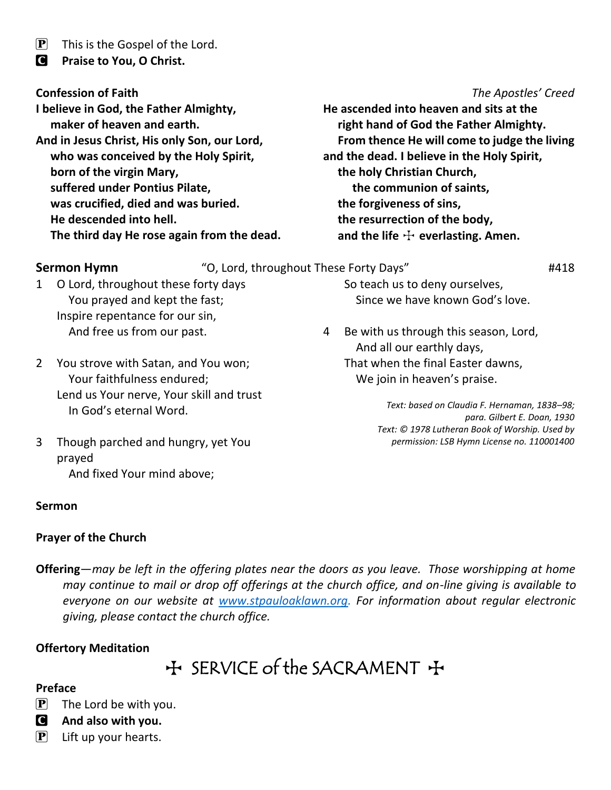$\left| \mathbf{P} \right|$  This is the Gospel of the Lord.

C **Praise to You, O Christ.**

**I believe in God, the Father Almighty, maker of heaven and earth. And in Jesus Christ, His only Son, our Lord, who was conceived by the Holy Spirit, born of the virgin Mary, suffered under Pontius Pilate, was crucified, died and was buried. He descended into hell. The third day He rose again from the dead.**

#### **Confession of Faith** *The Apostles' Creed*

**He ascended into heaven and sits at the right hand of God the Father Almighty. From thence He will come to judge the living and the dead. I believe in the Holy Spirit, the holy Christian Church, the communion of saints, the forgiveness of sins, the resurrection of the body,** and the life  $\pm$  everlasting. Amen.

**Sermon Hymn** "O, Lord, throughout These Forty Days" **#418** 

1 O Lord, throughout these forty days You prayed and kept the fast; Inspire repentance for our sin, And free us from our past.

2 You strove with Satan, and You won; Your faithfulness endured; Lend us Your nerve, Your skill and trust In God's eternal Word.

3 Though parched and hungry, yet You prayed And fixed Your mind above;

#### **Sermon**

#### **Prayer of the Church**

**Offering**—*may be left in the offering plates near the doors as you leave. Those worshipping at home may continue to mail or drop off offerings at the church office, and on-line giving is available to everyone on our website at [www.stpauloaklawn.org.](http://www.stpauloaklawn.org/) For information about regular electronic giving, please contact the church office.* 

#### **Offertory Meditation**

 $H$  SERVICE of the SACRAMENT  $H$ 

#### **Preface**

- $[P]$  The Lord be with you.
- C **And also with you.**
- $\left[ \mathbf{P} \right]$  Lift up your hearts.

So teach us to deny ourselves, Since we have known God's love.

4 Be with us through this season, Lord, And all our earthly days, That when the final Easter dawns, We join in heaven's praise.

> *Text: based on Claudia F. Hernaman, 1838–98; para. Gilbert E. Doan, 1930 Text: © 1978 Lutheran Book of Worship. Used by permission: LSB Hymn License no. 110001400*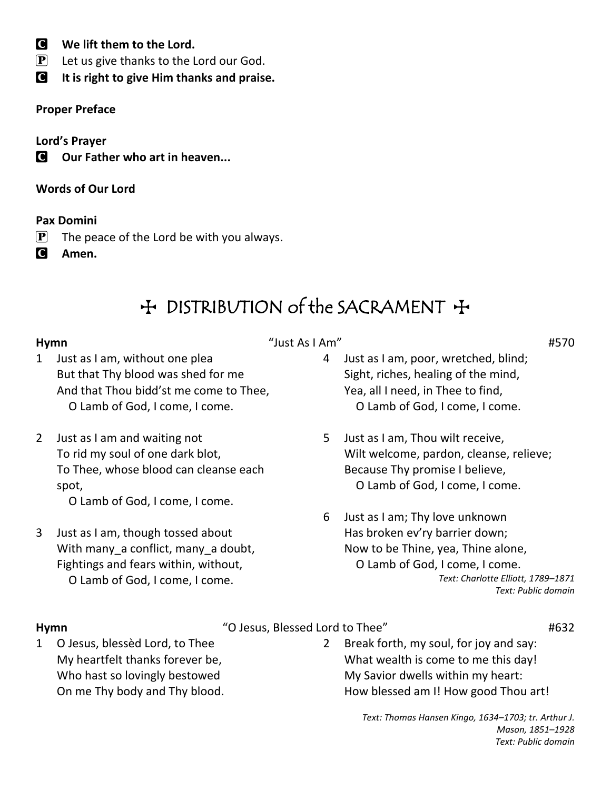- C **We lift them to the Lord.**
- $\left[ \mathbf{P} \right]$  Let us give thanks to the Lord our God.
- C **It is right to give Him thanks and praise.**

### **Proper Preface**

**Lord's Prayer**

**C** Our Father who art in heaven...

**Words of Our Lord**

### **Pax Domini**

- $\mathbf{P}$  The peace of the Lord be with you always.
- C **Amen.**

## + DISTRIBUTION of the SACRAMENT +

### **Hymn** "Just As I Am" #570

- 1 Just as I am, without one plea But that Thy blood was shed for me And that Thou bidd'st me come to Thee, O Lamb of God, I come, I come.
- 2 Just as I am and waiting not To rid my soul of one dark blot, To Thee, whose blood can cleanse each spot,

O Lamb of God, I come, I come.

3 Just as I am, though tossed about With many a conflict, many a doubt, Fightings and fears within, without, O Lamb of God, I come, I come.

- 4 Just as I am, poor, wretched, blind; Sight, riches, healing of the mind, Yea, all I need, in Thee to find, O Lamb of God, I come, I come.
- 5 Just as I am, Thou wilt receive, Wilt welcome, pardon, cleanse, relieve; Because Thy promise I believe, O Lamb of God, I come, I come.
- 6 Just as I am; Thy love unknown Has broken ev'ry barrier down; Now to be Thine, yea, Thine alone, O Lamb of God, I come, I come. *Text: Charlotte Elliott, 1789–1871 Text: Public domain*

**Hymn** "O Jesus, Blessed Lord to Thee" #632

1 O Jesus, blessèd Lord, to Thee My heartfelt thanks forever be, Who hast so lovingly bestowed On me Thy body and Thy blood.

2 Break forth, my soul, for joy and say: What wealth is come to me this day! My Savior dwells within my heart: How blessed am I! How good Thou art!

> *Text: Thomas Hansen Kingo, 1634–1703; tr. Arthur J. Mason, 1851–1928 Text: Public domain*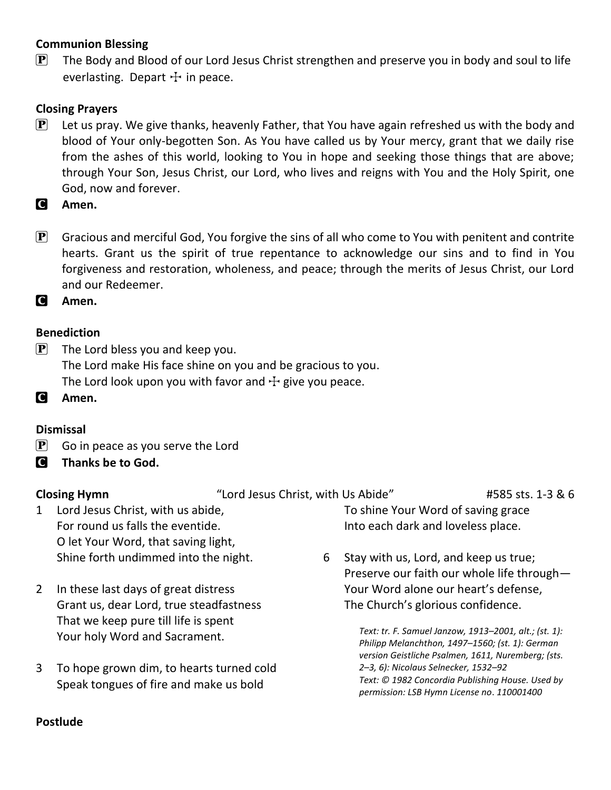### **Communion Blessing**

 $\mathbf{P}$  The Body and Blood of our Lord Jesus Christ strengthen and preserve you in body and soul to life everlasting. Depart  $+$  in peace.

### **Closing Prayers**

- $\left[\mathbf{P}\right]$  Let us pray. We give thanks, heavenly Father, that You have again refreshed us with the body and blood of Your only-begotten Son. As You have called us by Your mercy, grant that we daily rise from the ashes of this world, looking to You in hope and seeking those things that are above; through Your Son, Jesus Christ, our Lord, who lives and reigns with You and the Holy Spirit, one God, now and forever.
- C **Amen.**
- $\mathbf{P}$  Gracious and merciful God, You forgive the sins of all who come to You with penitent and contrite hearts. Grant us the spirit of true repentance to acknowledge our sins and to find in You forgiveness and restoration, wholeness, and peace; through the merits of Jesus Christ, our Lord and our Redeemer.
- C **Amen.**

#### **Benediction**

- $\mathbf{P}$  The Lord bless you and keep you. The Lord make His face shine on you and be gracious to you. The Lord look upon you with favor and  $\pm$  give you peace.
- C **Amen.**

#### **Dismissal**

- $\left[ \mathbf{P} \right]$  Go in peace as you serve the Lord
- C **Thanks be to God.**

**Closing Hymn** "Lord Jesus Christ, with Us Abide" #585 sts. 1-3 & 6

To shine Your Word of saving grace

- 1 Lord Jesus Christ, with us abide, For round us falls the eventide. O let Your Word, that saving light, Shine forth undimmed into the night.
- 2 In these last days of great distress Grant us, dear Lord, true steadfastness That we keep pure till life is spent Your holy Word and Sacrament.
- 3 To hope grown dim, to hearts turned cold Speak tongues of fire and make us bold
- 6 Stay with us, Lord, and keep us true; Preserve our faith our whole life through— Your Word alone our heart's defense, The Church's glorious confidence.

Into each dark and loveless place.

*Text: tr. F. Samuel Janzow, 1913–2001, alt.; (st. 1): Philipp Melanchthon, 1497–1560; (st. 1): German version Geistliche Psalmen, 1611, Nuremberg; (sts. 2–3, 6): Nicolaus Selnecker, 1532–92 Text: © 1982 Concordia Publishing House. Used by permission: LSB Hymn License no*. *110001400*

#### **Postlude**